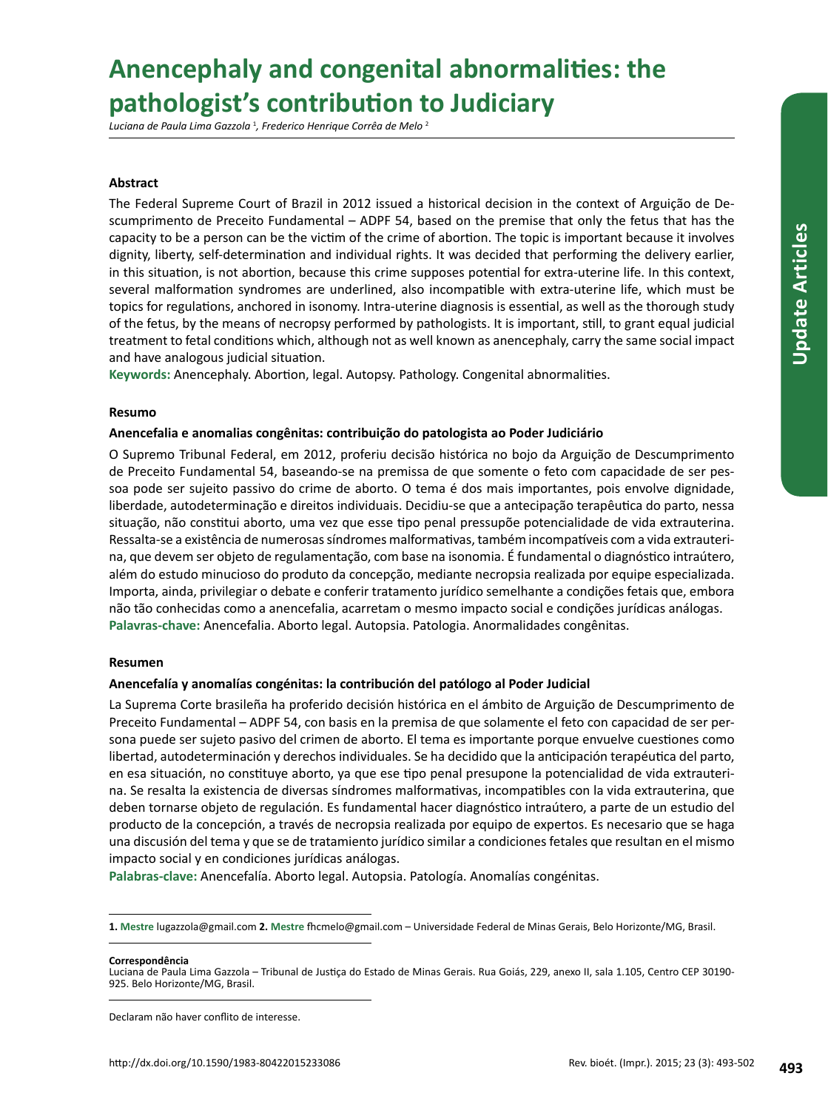# **Anencephaly and congenital abnormalities: the pathologist's contribution to Judiciary**

*Luciana de Paula Lima Gazzola* <sup>1</sup> *, Frederico Henrique Corrêa de Melo* <sup>2</sup>

# **Abstract**

The Federal Supreme Court of Brazil in 2012 issued a historical decision in the context of Arguição de Descumprimento de Preceito Fundamental – ADPF 54, based on the premise that only the fetus that has the capacity to be a person can be the victim of the crime of abortion. The topic is important because it involves dignity, liberty, self-determination and individual rights. It was decided that performing the delivery earlier, in this situation, is not abortion, because this crime supposes potential for extra-uterine life. In this context, several malformation syndromes are underlined, also incompatible with extra-uterine life, which must be topics for regulations, anchored in isonomy. Intra-uterine diagnosis is essential, as well as the thorough study of the fetus, by the means of necropsy performed by pathologists. It is important, still, to grant equal judicial treatment to fetal conditions which, although not as well known as anencephaly, carry the same social impact and have analogous judicial situation.

**Keywords:** Anencephaly. Abortion, legal. Autopsy. Pathology. Congenital abnormalities.

## **Resumo**

## **Anencefalia e anomalias congênitas: contribuição do patologista ao Poder Judiciário**

O Supremo Tribunal Federal, em 2012, proferiu decisão histórica no bojo da Arguição de Descumprimento de Preceito Fundamental 54, baseando-se na premissa de que somente o feto com capacidade de ser pessoa pode ser sujeito passivo do crime de aborto. O tema é dos mais importantes, pois envolve dignidade, liberdade, autodeterminação e direitos individuais. Decidiu-se que a antecipação terapêutica do parto, nessa situação, não constitui aborto, uma vez que esse tipo penal pressupõe potencialidade de vida extrauterina. Ressalta-se a existência de numerosas síndromes malformativas, também incompatíveis com a vida extrauterina, que devem ser objeto de regulamentação, com base na isonomia. É fundamental o diagnóstico intraútero, além do estudo minucioso do produto da concepção, mediante necropsia realizada por equipe especializada. Importa, ainda, privilegiar o debate e conferir tratamento jurídico semelhante a condições fetais que, embora não tão conhecidas como a anencefalia, acarretam o mesmo impacto social e condições jurídicas análogas. **Palavras-chave:** Anencefalia. Aborto legal. Autopsia. Patologia. Anormalidades congênitas.

## **Resumen**

## **Anencefalía y anomalías congénitas: la contribución del patólogo al Poder Judicial**

La Suprema Corte brasileña ha proferido decisión histórica en el ámbito de Arguição de Descumprimento de Preceito Fundamental – ADPF 54, con basis en la premisa de que solamente el feto con capacidad de ser persona puede ser sujeto pasivo del crimen de aborto. El tema es importante porque envuelve cuestiones como libertad, autodeterminación y derechos individuales. Se ha decidido que la anticipación terapéutica del parto, en esa situación, no constituye aborto, ya que ese tipo penal presupone la potencialidad de vida extrauterina. Se resalta la existencia de diversas síndromes malformativas, incompatibles con la vida extrauterina, que deben tornarse objeto de regulación. Es fundamental hacer diagnóstico intraútero, a parte de un estudio del producto de la concepción, a través de necropsia realizada por equipo de expertos. Es necesario que se haga una discusión del tema y que se de tratamiento jurídico similar a condiciones fetales que resultan en el mismo impacto social y en condiciones jurídicas análogas.

**Palabras-clave:** Anencefalía. Aborto legal. Autopsia. Patología. Anomalías congénitas.

**Correspondência**

Declaram não haver conflito de interesse.

**<sup>1.</sup> Mestre** lugazzola@gmail.com **2. Mestre** fhcmelo@gmail.com – Universidade Federal de Minas Gerais, Belo Horizonte/MG, Brasil.

Luciana de Paula Lima Gazzola – Tribunal de Justiça do Estado de Minas Gerais. Rua Goiás, 229, anexo II, sala 1.105, Centro CEP 30190- 925. Belo Horizonte/MG, Brasil.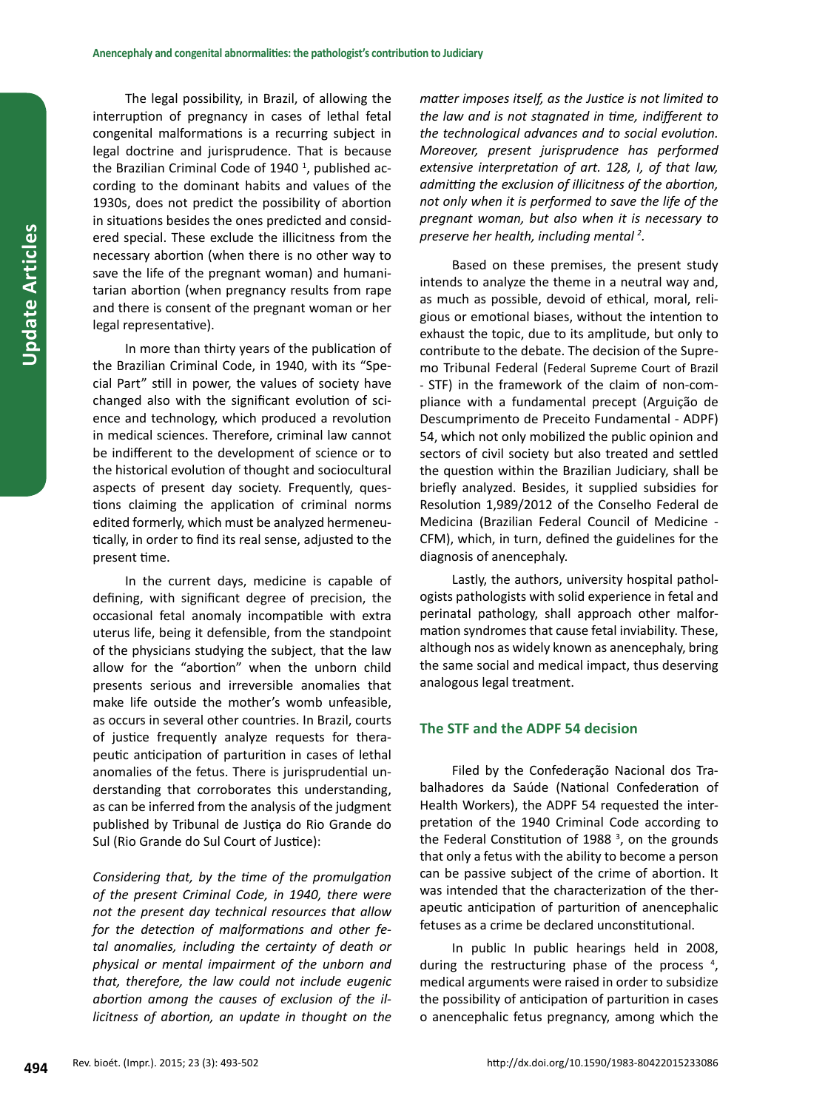The legal possibility, in Brazil, of allowing the interruption of pregnancy in cases of lethal fetal congenital malformations is a recurring subject in legal doctrine and jurisprudence. That is because the Brazilian Criminal Code of 1940<sup>1</sup>, published according to the dominant habits and values of the 1930s, does not predict the possibility of abortion in situations besides the ones predicted and considered special. These exclude the illicitness from the necessary abortion (when there is no other way to save the life of the pregnant woman) and humanitarian abortion (when pregnancy results from rape and there is consent of the pregnant woman or her legal representative).

In more than thirty years of the publication of the Brazilian Criminal Code, in 1940, with its "Special Part" still in power, the values of society have changed also with the significant evolution of science and technology, which produced a revolution in medical sciences. Therefore, criminal law cannot be indifferent to the development of science or to the historical evolution of thought and sociocultural aspects of present day society. Frequently, questions claiming the application of criminal norms edited formerly, which must be analyzed hermeneutically, in order to find its real sense, adjusted to the present time.

In the current days, medicine is capable of defining, with significant degree of precision, the occasional fetal anomaly incompatible with extra uterus life, being it defensible, from the standpoint of the physicians studying the subject, that the law allow for the "abortion" when the unborn child presents serious and irreversible anomalies that make life outside the mother's womb unfeasible, as occurs in several other countries. In Brazil, courts of justice frequently analyze requests for therapeutic anticipation of parturition in cases of lethal anomalies of the fetus. There is jurisprudential understanding that corroborates this understanding, as can be inferred from the analysis of the judgment published by Tribunal de Justiça do Rio Grande do Sul (Rio Grande do Sul Court of Justice):

*Considering that, by the time of the promulgation of the present Criminal Code, in 1940, there were not the present day technical resources that allow for the detection of malformations and other fetal anomalies, including the certainty of death or physical or mental impairment of the unborn and that, therefore, the law could not include eugenic abortion among the causes of exclusion of the illicitness of abortion, an update in thought on the*  *matter imposes itself, as the Justice is not limited to the law and is not stagnated in time, indifferent to the technological advances and to social evolution. Moreover, present jurisprudence has performed extensive interpretation of art. 128, I, of that law, admitting the exclusion of illicitness of the abortion, not only when it is performed to save the life of the pregnant woman, but also when it is necessary to preserve her health, including mental <sup>2</sup> .*

Based on these premises, the present study intends to analyze the theme in a neutral way and, as much as possible, devoid of ethical, moral, religious or emotional biases, without the intention to exhaust the topic, due to its amplitude, but only to contribute to the debate. The decision of the Supremo Tribunal Federal (Federal Supreme Court of Brazil - STF) in the framework of the claim of non-compliance with a fundamental precept (Arguição de Descumprimento de Preceito Fundamental - ADPF) 54, which not only mobilized the public opinion and sectors of civil society but also treated and settled the question within the Brazilian Judiciary, shall be briefly analyzed. Besides, it supplied subsidies for Resolution 1,989/2012 of the Conselho Federal de Medicina (Brazilian Federal Council of Medicine - CFM), which, in turn, defined the guidelines for the diagnosis of anencephaly.

Lastly, the authors, university hospital pathologists pathologists with solid experience in fetal and perinatal pathology, shall approach other malformation syndromes that cause fetal inviability. These, although nos as widely known as anencephaly, bring the same social and medical impact, thus deserving analogous legal treatment.

## **The STF and the ADPF 54 decision**

Filed by the Confederação Nacional dos Trabalhadores da Saúde (National Confederation of Health Workers), the ADPF 54 requested the interpretation of the 1940 Criminal Code according to the Federal Constitution of 1988 $<sup>3</sup>$ , on the grounds</sup> that only a fetus with the ability to become a person can be passive subject of the crime of abortion. It was intended that the characterization of the therapeutic anticipation of parturition of anencephalic fetuses as a crime be declared unconstitutional.

In public In public hearings held in 2008, during the restructuring phase of the process<sup>4</sup>, medical arguments were raised in order to subsidize the possibility of anticipation of parturition in cases o anencephalic fetus pregnancy, among which the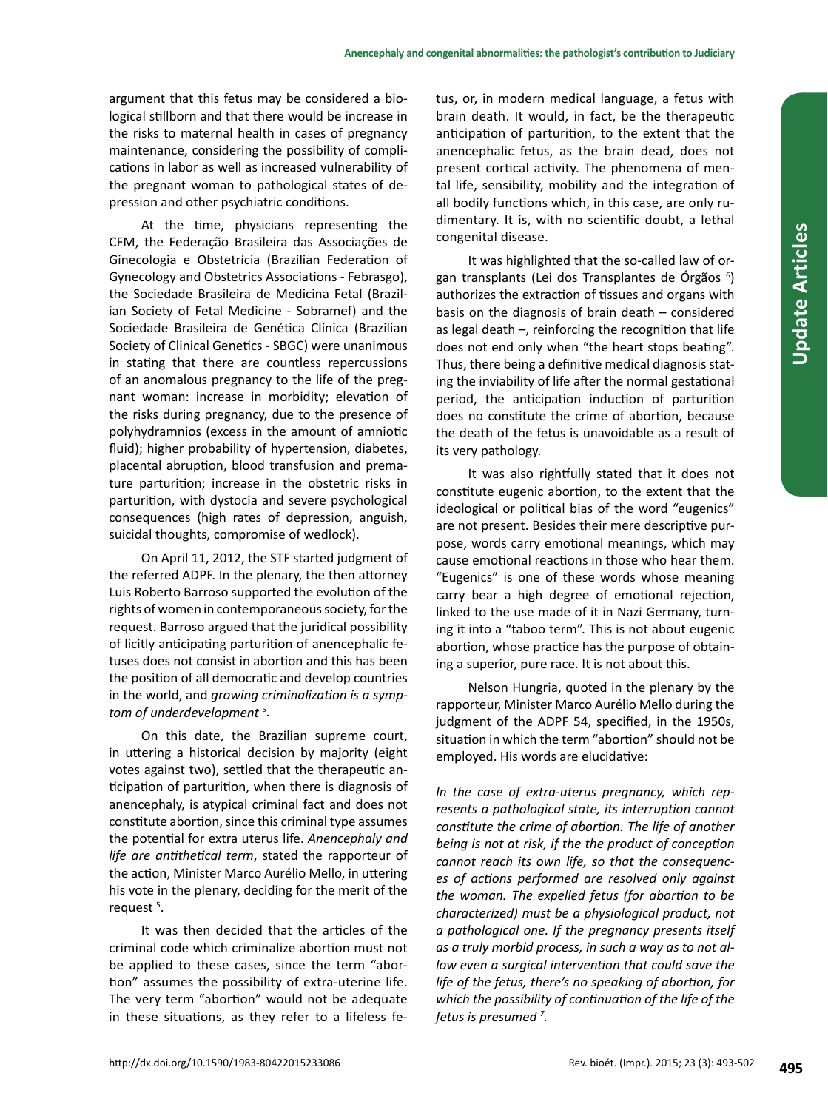argument that this fetus may be considered a biological stillborn and that there would be increase in the risks to maternal health in cases of pregnancy maintenance, considering the possibility of complications in labor as well as increased vulnerability of the pregnant woman to pathological states of depression and other psychiatric conditions.

At the time, physicians representing the CFM, the Federação Brasileira das Associações de Ginecologia e Obstetrícia (Brazilian Federation of Gynecology and Obstetrics Associations - Febrasgo), the Sociedade Brasileira de Medicina Fetal (Brazilian Society of Fetal Medicine - Sobramef) and the Sociedade Brasileira de Genética Clínica (Brazilian Society of Clinical Genetics - SBGC) were unanimous in stating that there are countless repercussions of an anomalous pregnancy to the life of the pregnant woman: increase in morbidity; elevation of the risks during pregnancy, due to the presence of polyhydramnios (excess in the amount of amniotic fluid); higher probability of hypertension, diabetes, placental abruption, blood transfusion and premature parturition; increase in the obstetric risks in parturition, with dystocia and severe psychological consequences (high rates of depression, anguish, suicidal thoughts, compromise of wedlock).

On April 11, 2012, the STF started judgment of the referred ADPF. In the plenary, the then attorney Luis Roberto Barroso supported the evolution of the rights of women in contemporaneous society, for the request. Barroso argued that the juridical possibility of licitly anticipating parturition of anencephalic fetuses does not consist in abortion and this has been the position of all democratic and develop countries in the world, and *growing criminalization is a symptom of underdevelopment* <sup>5</sup> .

On this date, the Brazilian supreme court, in uttering a historical decision by majority (eight votes against two), settled that the therapeutic anticipation of parturition, when there is diagnosis of anencephaly, is atypical criminal fact and does not constitute abortion, since this criminal type assumes the potential for extra uterus life. *Anencephaly and life are antithetical term*, stated the rapporteur of the action, Minister Marco Aurélio Mello, in uttering his vote in the plenary, deciding for the merit of the request<sup>5</sup>.

It was then decided that the articles of the criminal code which criminalize abortion must not be applied to these cases, since the term "abortion" assumes the possibility of extra-uterine life. The very term "abortion" would not be adequate in these situations, as they refer to a lifeless fetus, or, in modern medical language, a fetus with brain death. It would, in fact, be the therapeutic anticipation of parturition, to the extent that the anencephalic fetus, as the brain dead, does not present cortical activity. The phenomena of mental life, sensibility, mobility and the integration of all bodily functions which, in this case, are only rudimentary. It is, with no scientific doubt, a lethal congenital disease.

It was highlighted that the so-called law of organ transplants (Lei dos Transplantes de Órgãos <sup>6</sup>) authorizes the extraction of tissues and organs with basis on the diagnosis of brain death – considered as legal death –, reinforcing the recognition that life does not end only when "the heart stops beating". Thus, there being a definitive medical diagnosis stating the inviability of life after the normal gestational period, the anticipation induction of parturition does no constitute the crime of abortion, because the death of the fetus is unavoidable as a result of its very pathology.

It was also rightfully stated that it does not constitute eugenic abortion, to the extent that the ideological or political bias of the word "eugenics" are not present. Besides their mere descriptive purpose, words carry emotional meanings, which may cause emotional reactions in those who hear them. "Eugenics" is one of these words whose meaning carry bear a high degree of emotional rejection, linked to the use made of it in Nazi Germany, turning it into a "taboo term". This is not about eugenic abortion, whose practice has the purpose of obtaining a superior, pure race. It is not about this.

Nelson Hungria, quoted in the plenary by the rapporteur, Minister Marco Aurélio Mello during the judgment of the ADPF 54, specified, in the 1950s, situation in which the term "abortion" should not be employed. His words are elucidative:

*In the case of extra-uterus pregnancy, which represents a pathological state, its interruption cannot constitute the crime of abortion. The life of another being is not at risk, if the the product of conception cannot reach its own life, so that the consequences of actions performed are resolved only against the woman. The expelled fetus (for abortion to be characterized) must be a physiological product, not a pathological one. If the pregnancy presents itself as a truly morbid process, in such a way as to not allow even a surgical intervention that could save the life of the fetus, there's no speaking of abortion, for which the possibility of continuation of the life of the fetus is presumed <sup>7</sup> .*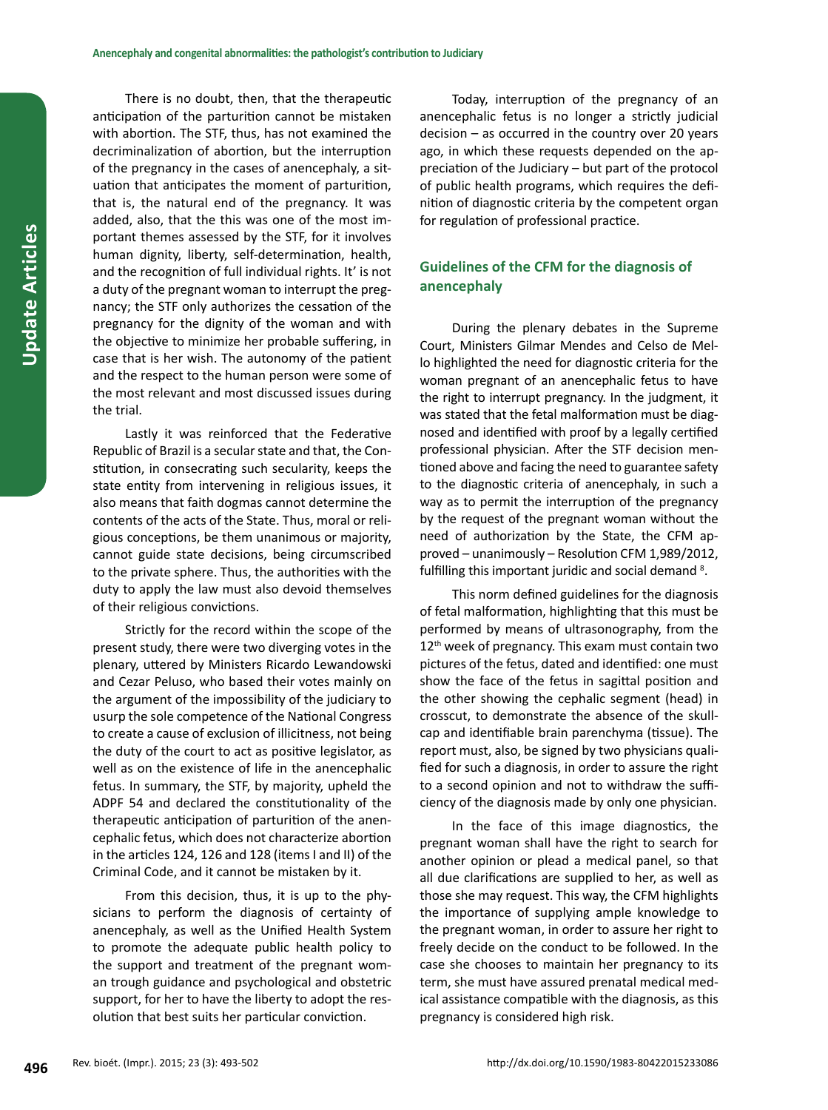There is no doubt, then, that the therapeutic anticipation of the parturition cannot be mistaken with abortion. The STF, thus, has not examined the decriminalization of abortion, but the interruption of the pregnancy in the cases of anencephaly, a situation that anticipates the moment of parturition, that is, the natural end of the pregnancy. It was added, also, that the this was one of the most important themes assessed by the STF, for it involves human dignity, liberty, self-determination, health, and the recognition of full individual rights. It' is not a duty of the pregnant woman to interrupt the pregnancy; the STF only authorizes the cessation of the pregnancy for the dignity of the woman and with the objective to minimize her probable suffering, in case that is her wish. The autonomy of the patient and the respect to the human person were some of the most relevant and most discussed issues during the trial.

Lastly it was reinforced that the Federative Republic of Brazil is a secular state and that, the Constitution, in consecrating such secularity, keeps the state entity from intervening in religious issues, it also means that faith dogmas cannot determine the contents of the acts of the State. Thus, moral or religious conceptions, be them unanimous or majority, cannot guide state decisions, being circumscribed to the private sphere. Thus, the authorities with the duty to apply the law must also devoid themselves of their religious convictions.

Strictly for the record within the scope of the present study, there were two diverging votes in the plenary, uttered by Ministers Ricardo Lewandowski and Cezar Peluso, who based their votes mainly on the argument of the impossibility of the judiciary to usurp the sole competence of the National Congress to create a cause of exclusion of illicitness, not being the duty of the court to act as positive legislator, as well as on the existence of life in the anencephalic fetus. In summary, the STF, by majority, upheld the ADPF 54 and declared the constitutionality of the therapeutic anticipation of parturition of the anencephalic fetus, which does not characterize abortion in the articles 124, 126 and 128 (items I and II) of the Criminal Code, and it cannot be mistaken by it.

From this decision, thus, it is up to the physicians to perform the diagnosis of certainty of anencephaly, as well as the Unified Health System to promote the adequate public health policy to the support and treatment of the pregnant woman trough guidance and psychological and obstetric support, for her to have the liberty to adopt the resolution that best suits her particular conviction.

Today, interruption of the pregnancy of an anencephalic fetus is no longer a strictly judicial decision – as occurred in the country over 20 years ago, in which these requests depended on the appreciation of the Judiciary – but part of the protocol of public health programs, which requires the definition of diagnostic criteria by the competent organ for regulation of professional practice.

## **Guidelines of the CFM for the diagnosis of anencephaly**

During the plenary debates in the Supreme Court, Ministers Gilmar Mendes and Celso de Mello highlighted the need for diagnostic criteria for the woman pregnant of an anencephalic fetus to have the right to interrupt pregnancy. In the judgment, it was stated that the fetal malformation must be diagnosed and identified with proof by a legally certified professional physician. After the STF decision mentioned above and facing the need to guarantee safety to the diagnostic criteria of anencephaly, in such a way as to permit the interruption of the pregnancy by the request of the pregnant woman without the need of authorization by the State, the CFM approved – unanimously – Resolution CFM 1,989/2012, fulfilling this important juridic and social demand<sup>8</sup>.

This norm defined guidelines for the diagnosis of fetal malformation, highlighting that this must be performed by means of ultrasonography, from the  $12<sup>th</sup>$  week of pregnancy. This exam must contain two pictures of the fetus, dated and identified: one must show the face of the fetus in sagittal position and the other showing the cephalic segment (head) in crosscut, to demonstrate the absence of the skullcap and identifiable brain parenchyma (tissue). The report must, also, be signed by two physicians qualified for such a diagnosis, in order to assure the right to a second opinion and not to withdraw the sufficiency of the diagnosis made by only one physician.

In the face of this image diagnostics, the pregnant woman shall have the right to search for another opinion or plead a medical panel, so that all due clarifications are supplied to her, as well as those she may request. This way, the CFM highlights the importance of supplying ample knowledge to the pregnant woman, in order to assure her right to freely decide on the conduct to be followed. In the case she chooses to maintain her pregnancy to its term, she must have assured prenatal medical medical assistance compatible with the diagnosis, as this pregnancy is considered high risk.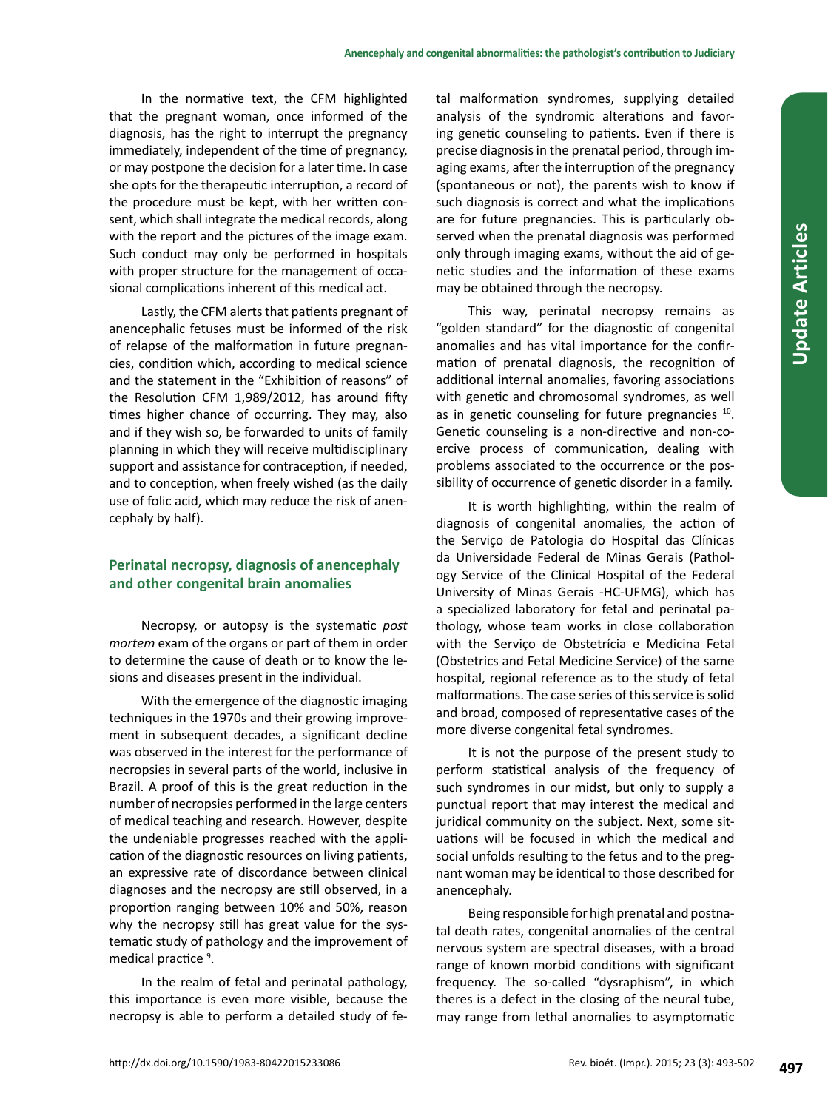In the normative text, the CFM highlighted that the pregnant woman, once informed of the diagnosis, has the right to interrupt the pregnancy immediately, independent of the time of pregnancy, or may postpone the decision for a later time. In case she opts for the therapeutic interruption, a record of the procedure must be kept, with her written consent, which shall integrate the medical records, along with the report and the pictures of the image exam. Such conduct may only be performed in hospitals with proper structure for the management of occasional complications inherent of this medical act.

Lastly, the CFM alerts that patients pregnant of anencephalic fetuses must be informed of the risk of relapse of the malformation in future pregnancies, condition which, according to medical science and the statement in the "Exhibition of reasons" of the Resolution CFM 1,989/2012, has around fifty times higher chance of occurring. They may, also and if they wish so, be forwarded to units of family planning in which they will receive multidisciplinary support and assistance for contraception, if needed, and to conception, when freely wished (as the daily use of folic acid, which may reduce the risk of anencephaly by half).

# **Perinatal necropsy, diagnosis of anencephaly and other congenital brain anomalies**

Necropsy, or autopsy is the systematic *post mortem* exam of the organs or part of them in order to determine the cause of death or to know the lesions and diseases present in the individual.

With the emergence of the diagnostic imaging techniques in the 1970s and their growing improvement in subsequent decades, a significant decline was observed in the interest for the performance of necropsies in several parts of the world, inclusive in Brazil. A proof of this is the great reduction in the number of necropsies performed in the large centers of medical teaching and research. However, despite the undeniable progresses reached with the application of the diagnostic resources on living patients, an expressive rate of discordance between clinical diagnoses and the necropsy are still observed, in a proportion ranging between 10% and 50%, reason why the necropsy still has great value for the systematic study of pathology and the improvement of medical practice <sup>9</sup>.

In the realm of fetal and perinatal pathology, this importance is even more visible, because the necropsy is able to perform a detailed study of fetal malformation syndromes, supplying detailed analysis of the syndromic alterations and favoring genetic counseling to patients. Even if there is precise diagnosis in the prenatal period, through imaging exams, after the interruption of the pregnancy (spontaneous or not), the parents wish to know if such diagnosis is correct and what the implications are for future pregnancies. This is particularly observed when the prenatal diagnosis was performed only through imaging exams, without the aid of genetic studies and the information of these exams may be obtained through the necropsy.

This way, perinatal necropsy remains as "golden standard" for the diagnostic of congenital anomalies and has vital importance for the confirmation of prenatal diagnosis, the recognition of additional internal anomalies, favoring associations with genetic and chromosomal syndromes, as well as in genetic counseling for future pregnancies <sup>10</sup>. Genetic counseling is a non-directive and non-coercive process of communication, dealing with problems associated to the occurrence or the possibility of occurrence of genetic disorder in a family.

It is worth highlighting, within the realm of diagnosis of congenital anomalies, the action of the Serviço de Patologia do Hospital das Clínicas da Universidade Federal de Minas Gerais (Pathology Service of the Clinical Hospital of the Federal University of Minas Gerais -HC-UFMG), which has a specialized laboratory for fetal and perinatal pathology, whose team works in close collaboration with the Serviço de Obstetrícia e Medicina Fetal (Obstetrics and Fetal Medicine Service) of the same hospital, regional reference as to the study of fetal malformations. The case series of this service is solid and broad, composed of representative cases of the more diverse congenital fetal syndromes.

It is not the purpose of the present study to perform statistical analysis of the frequency of such syndromes in our midst, but only to supply a punctual report that may interest the medical and juridical community on the subject. Next, some situations will be focused in which the medical and social unfolds resulting to the fetus and to the pregnant woman may be identical to those described for anencephaly.

Being responsible for high prenatal and postnatal death rates, congenital anomalies of the central nervous system are spectral diseases, with a broad range of known morbid conditions with significant frequency. The so-called "dysraphism", in which theres is a defect in the closing of the neural tube, may range from lethal anomalies to asymptomatic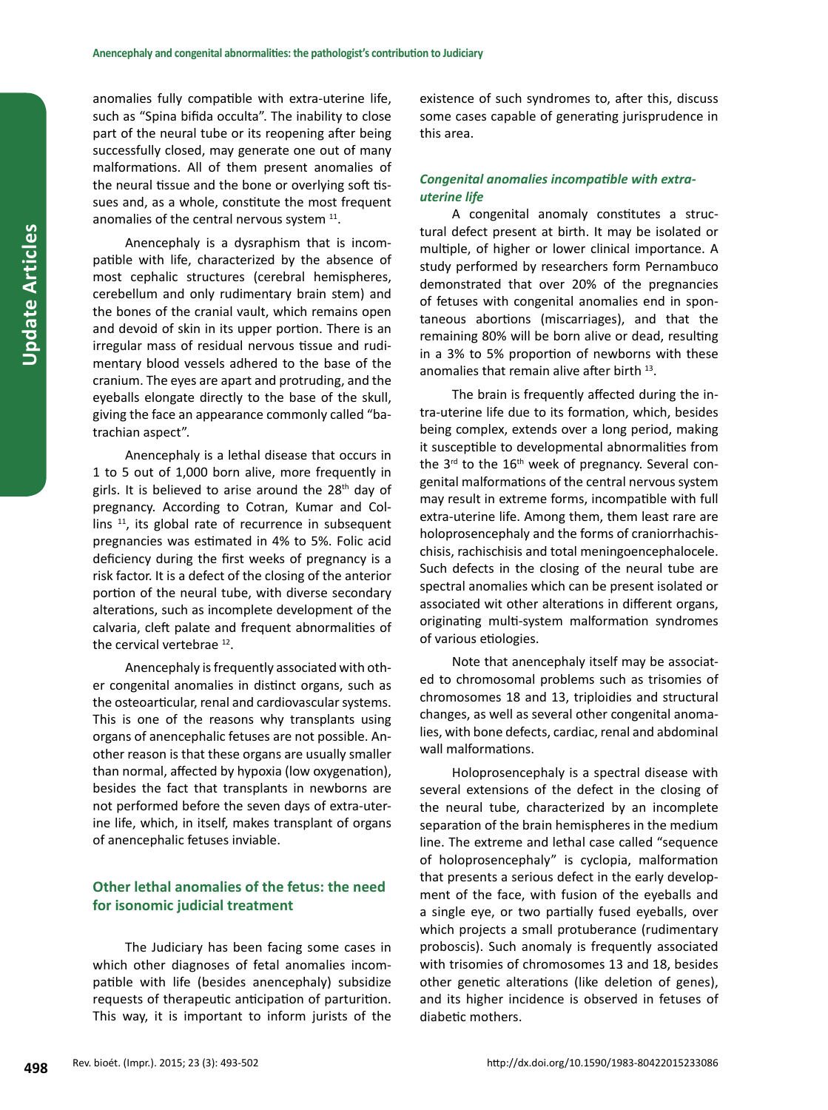anomalies fully compatible with extra-uterine life, such as "Spina bifida occulta". The inability to close part of the neural tube or its reopening after being successfully closed, may generate one out of many malformations. All of them present anomalies of the neural tissue and the bone or overlying soft tissues and, as a whole, constitute the most frequent anomalies of the central nervous system  $11$ .

Anencephaly is a dysraphism that is incompatible with life, characterized by the absence of most cephalic structures (cerebral hemispheres, cerebellum and only rudimentary brain stem) and the bones of the cranial vault, which remains open and devoid of skin in its upper portion. There is an irregular mass of residual nervous tissue and rudimentary blood vessels adhered to the base of the cranium. The eyes are apart and protruding, and the eyeballs elongate directly to the base of the skull, giving the face an appearance commonly called "batrachian aspect".

Anencephaly is a lethal disease that occurs in 1 to 5 out of 1,000 born alive, more frequently in girls. It is believed to arise around the 28<sup>th</sup> day of pregnancy. According to Cotran, Kumar and Collins  $11$ , its global rate of recurrence in subsequent pregnancies was estimated in 4% to 5%. Folic acid deficiency during the first weeks of pregnancy is a risk factor. It is a defect of the closing of the anterior portion of the neural tube, with diverse secondary alterations, such as incomplete development of the calvaria, cleft palate and frequent abnormalities of the cervical vertebrae<sup>12</sup>.

Anencephaly is frequently associated with other congenital anomalies in distinct organs, such as the osteoarticular, renal and cardiovascular systems. This is one of the reasons why transplants using organs of anencephalic fetuses are not possible. Another reason is that these organs are usually smaller than normal, affected by hypoxia (low oxygenation), besides the fact that transplants in newborns are not performed before the seven days of extra-uterine life, which, in itself, makes transplant of organs of anencephalic fetuses inviable.

## **Other lethal anomalies of the fetus: the need for isonomic judicial treatment**

The Judiciary has been facing some cases in which other diagnoses of fetal anomalies incompatible with life (besides anencephaly) subsidize requests of therapeutic anticipation of parturition. This way, it is important to inform jurists of the existence of such syndromes to, after this, discuss some cases capable of generating jurisprudence in this area.

## *Congenital anomalies incompatible with extrauterine life*

A congenital anomaly constitutes a structural defect present at birth. It may be isolated or multiple, of higher or lower clinical importance. A study performed by researchers form Pernambuco demonstrated that over 20% of the pregnancies of fetuses with congenital anomalies end in spontaneous abortions (miscarriages), and that the remaining 80% will be born alive or dead, resulting in a 3% to 5% proportion of newborns with these anomalies that remain alive after birth 13.

The brain is frequently affected during the intra-uterine life due to its formation, which, besides being complex, extends over a long period, making it susceptible to developmental abnormalities from the  $3<sup>rd</sup>$  to the  $16<sup>th</sup>$  week of pregnancy. Several congenital malformations of the central nervous system may result in extreme forms, incompatible with full extra-uterine life. Among them, them least rare are holoprosencephaly and the forms of craniorrhachischisis, rachischisis and total meningoencephalocele. Such defects in the closing of the neural tube are spectral anomalies which can be present isolated or associated wit other alterations in different organs, originating multi-system malformation syndromes of various etiologies.

Note that anencephaly itself may be associated to chromosomal problems such as trisomies of chromosomes 18 and 13, triploidies and structural changes, as well as several other congenital anomalies, with bone defects, cardiac, renal and abdominal wall malformations.

Holoprosencephaly is a spectral disease with several extensions of the defect in the closing of the neural tube, characterized by an incomplete separation of the brain hemispheres in the medium line. The extreme and lethal case called "sequence of holoprosencephaly" is cyclopia, malformation that presents a serious defect in the early development of the face, with fusion of the eyeballs and a single eye, or two partially fused eyeballs, over which projects a small protuberance (rudimentary proboscis). Such anomaly is frequently associated with trisomies of chromosomes 13 and 18, besides other genetic alterations (like deletion of genes), and its higher incidence is observed in fetuses of diabetic mothers.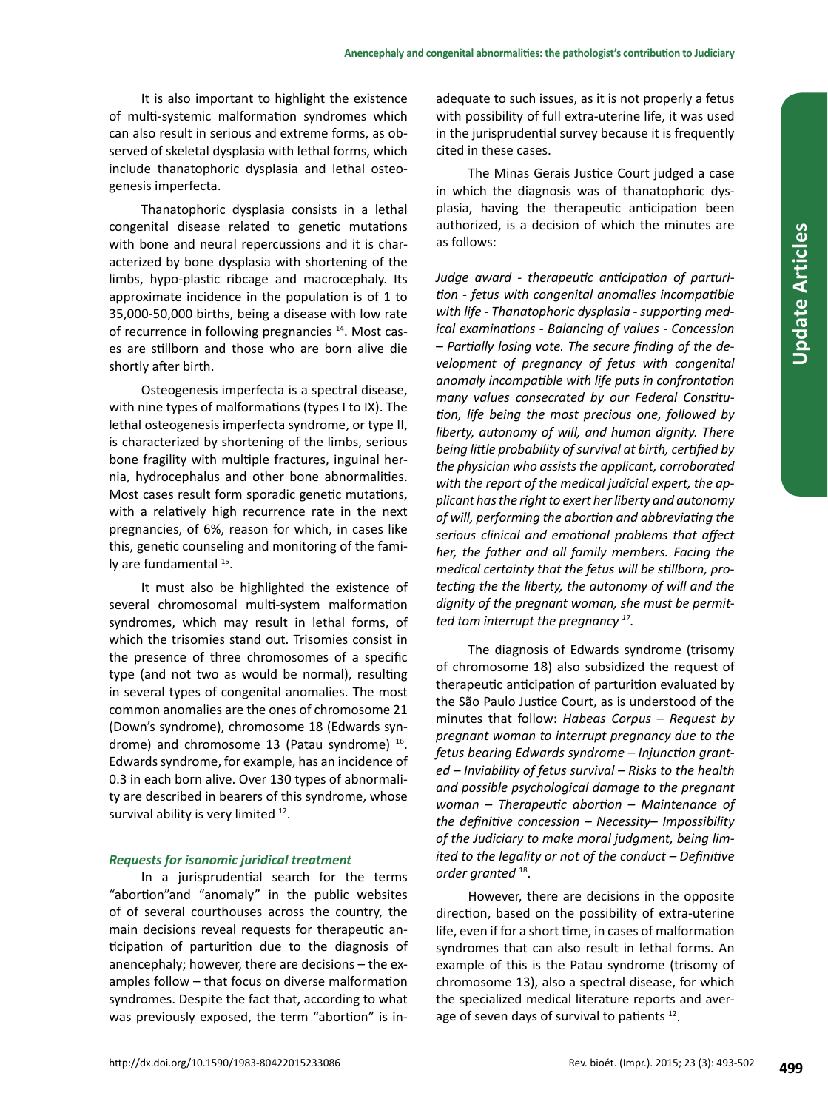It is also important to highlight the existence of multi-systemic malformation syndromes which can also result in serious and extreme forms, as observed of skeletal dysplasia with lethal forms, which include thanatophoric dysplasia and lethal osteogenesis imperfecta.

Thanatophoric dysplasia consists in a lethal congenital disease related to genetic mutations with bone and neural repercussions and it is characterized by bone dysplasia with shortening of the limbs, hypo-plastic ribcage and macrocephaly. Its approximate incidence in the population is of 1 to 35,000-50,000 births, being a disease with low rate of recurrence in following pregnancies<sup>14</sup>. Most cases are stillborn and those who are born alive die shortly after birth.

Osteogenesis imperfecta is a spectral disease, with nine types of malformations (types I to IX). The lethal osteogenesis imperfecta syndrome, or type II, is characterized by shortening of the limbs, serious bone fragility with multiple fractures, inguinal hernia, hydrocephalus and other bone abnormalities. Most cases result form sporadic genetic mutations, with a relatively high recurrence rate in the next pregnancies, of 6%, reason for which, in cases like this, genetic counseling and monitoring of the family are fundamental <sup>15</sup>.

It must also be highlighted the existence of several chromosomal multi-system malformation syndromes, which may result in lethal forms, of which the trisomies stand out. Trisomies consist in the presence of three chromosomes of a specific type (and not two as would be normal), resulting in several types of congenital anomalies. The most common anomalies are the ones of chromosome 21 (Down's syndrome), chromosome 18 (Edwards syndrome) and chromosome 13 (Patau syndrome) <sup>16</sup>. Edwards syndrome, for example, has an incidence of 0.3 in each born alive. Over 130 types of abnormality are described in bearers of this syndrome, whose survival ability is very limited <sup>12</sup>.

## *Requests for isonomic juridical treatment*

In a jurisprudential search for the terms "abortion"and "anomaly" in the public websites of of several courthouses across the country, the main decisions reveal requests for therapeutic anticipation of parturition due to the diagnosis of anencephaly; however, there are decisions – the examples follow – that focus on diverse malformation syndromes. Despite the fact that, according to what was previously exposed, the term "abortion" is inadequate to such issues, as it is not properly a fetus with possibility of full extra-uterine life, it was used in the jurisprudential survey because it is frequently cited in these cases.

The Minas Gerais Justice Court judged a case in which the diagnosis was of thanatophoric dysplasia, having the therapeutic anticipation been authorized, is a decision of which the minutes are as follows:

*Judge award - therapeutic anticipation of parturition - fetus with congenital anomalies incompatible with life - Thanatophoric dysplasia - supporting medical examinations - Balancing of values - Concession – Partially losing vote. The secure finding of the development of pregnancy of fetus with congenital anomaly incompatible with life puts in confrontation many values consecrated by our Federal Constitution, life being the most precious one, followed by liberty, autonomy of will, and human dignity. There being little probability of survival at birth, certified by the physician who assists the applicant, corroborated with the report of the medical judicial expert, the applicant has the right to exert her liberty and autonomy of will, performing the abortion and abbreviating the serious clinical and emotional problems that affect her, the father and all family members. Facing the medical certainty that the fetus will be stillborn, protecting the the liberty, the autonomy of will and the dignity of the pregnant woman, she must be permitted tom interrupt the pregnancy 17.*

The diagnosis of Edwards syndrome (trisomy of chromosome 18) also subsidized the request of therapeutic anticipation of parturition evaluated by the São Paulo Justice Court, as is understood of the minutes that follow: *Habeas Corpus – Request by pregnant woman to interrupt pregnancy due to the fetus bearing Edwards syndrome – Injunction granted – Inviability of fetus survival – Risks to the health and possible psychological damage to the pregnant woman – Therapeutic abortion – Maintenance of the definitive concession – Necessity– Impossibility of the Judiciary to make moral judgment, being limited to the legality or not of the conduct – Definitive order granted* 18.

However, there are decisions in the opposite direction, based on the possibility of extra-uterine life, even if for a short time, in cases of malformation syndromes that can also result in lethal forms. An example of this is the Patau syndrome (trisomy of chromosome 13), also a spectral disease, for which the specialized medical literature reports and average of seven days of survival to patients <sup>12</sup>.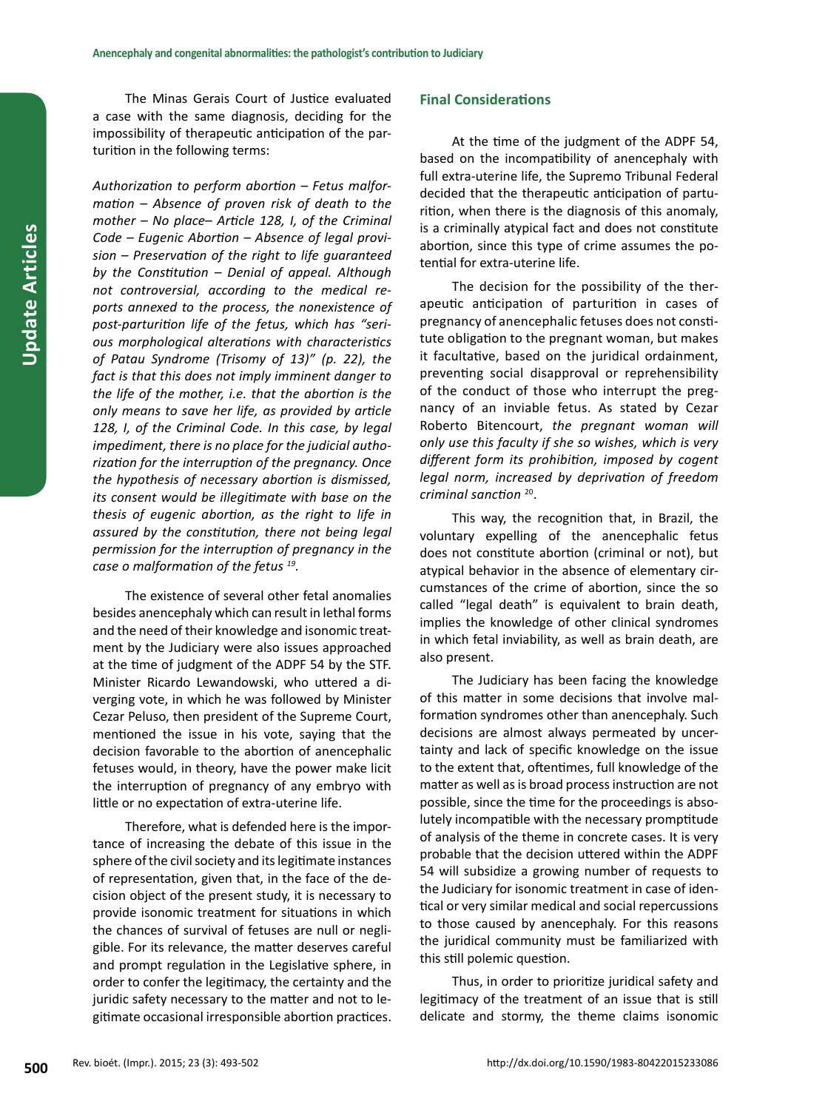The Minas Gerais Court of Justice evaluated a case with the same diagnosis, deciding for the impossibility of therapeutic anticipation of the parturition in the following terms:

*Authorization to perform abortion – Fetus malformation – Absence of proven risk of death to the mother – No place– Article 128, I, of the Criminal Code – Eugenic Abortion – Absence of legal provision – Preservation of the right to life guaranteed by the Constitution – Denial of appeal. Although not controversial, according to the medical reports annexed to the process, the nonexistence of post-parturition life of the fetus, which has "serious morphological alterations with characteristics of Patau Syndrome (Trisomy of 13)" (p. 22), the fact is that this does not imply imminent danger to the life of the mother, i.e. that the abortion is the only means to save her life, as provided by article 128, I, of the Criminal Code. In this case, by legal impediment, there is no place for the judicial authorization for the interruption of the pregnancy. Once the hypothesis of necessary abortion is dismissed, its consent would be illegitimate with base on the thesis of eugenic abortion, as the right to life in assured by the constitution, there not being legal permission for the interruption of pregnancy in the case o malformation of the fetus 19.*

The existence of several other fetal anomalies besides anencephaly which can result in lethal forms and the need of their knowledge and isonomic treatment by the Judiciary were also issues approached at the time of judgment of the ADPF 54 by the STF. Minister Ricardo Lewandowski, who uttered a diverging vote, in which he was followed by Minister Cezar Peluso, then president of the Supreme Court, mentioned the issue in his vote, saying that the decision favorable to the abortion of anencephalic fetuses would, in theory, have the power make licit the interruption of pregnancy of any embryo with little or no expectation of extra-uterine life.

Therefore, what is defended here is the importance of increasing the debate of this issue in the sphere of the civil society and its legitimate instances of representation, given that, in the face of the decision object of the present study, it is necessary to provide isonomic treatment for situations in which the chances of survival of fetuses are null or negligible. For its relevance, the matter deserves careful and prompt regulation in the Legislative sphere, in order to confer the legitimacy, the certainty and the juridic safety necessary to the matter and not to legitimate occasional irresponsible abortion practices.

## **Final Considerations**

At the time of the judgment of the ADPF 54, based on the incompatibility of anencephaly with full extra-uterine life, the Supremo Tribunal Federal decided that the therapeutic anticipation of parturition, when there is the diagnosis of this anomaly, is a criminally atypical fact and does not constitute abortion, since this type of crime assumes the potential for extra-uterine life.

The decision for the possibility of the therapeutic anticipation of parturition in cases of pregnancy of anencephalic fetuses does not constitute obligation to the pregnant woman, but makes it facultative, based on the juridical ordainment, preventing social disapproval or reprehensibility of the conduct of those who interrupt the pregnancy of an inviable fetus. As stated by Cezar Roberto Bitencourt, *the pregnant woman will only use this faculty if she so wishes, which is very different form its prohibition, imposed by cogent legal norm, increased by deprivation of freedom criminal sanction* <sup>20</sup>.

This way, the recognition that, in Brazil, the voluntary expelling of the anencephalic fetus does not constitute abortion (criminal or not), but atypical behavior in the absence of elementary circumstances of the crime of abortion, since the so called "legal death" is equivalent to brain death, implies the knowledge of other clinical syndromes in which fetal inviability, as well as brain death, are also present.

The Judiciary has been facing the knowledge of this matter in some decisions that involve malformation syndromes other than anencephaly. Such decisions are almost always permeated by uncertainty and lack of specific knowledge on the issue to the extent that, oftentimes, full knowledge of the matter as well as is broad process instruction are not possible, since the time for the proceedings is absolutely incompatible with the necessary promptitude of analysis of the theme in concrete cases. It is very probable that the decision uttered within the ADPF 54 will subsidize a growing number of requests to the Judiciary for isonomic treatment in case of identical or very similar medical and social repercussions to those caused by anencephaly. For this reasons the juridical community must be familiarized with this still polemic question.

Thus, in order to prioritize juridical safety and legitimacy of the treatment of an issue that is still delicate and stormy, the theme claims isonomic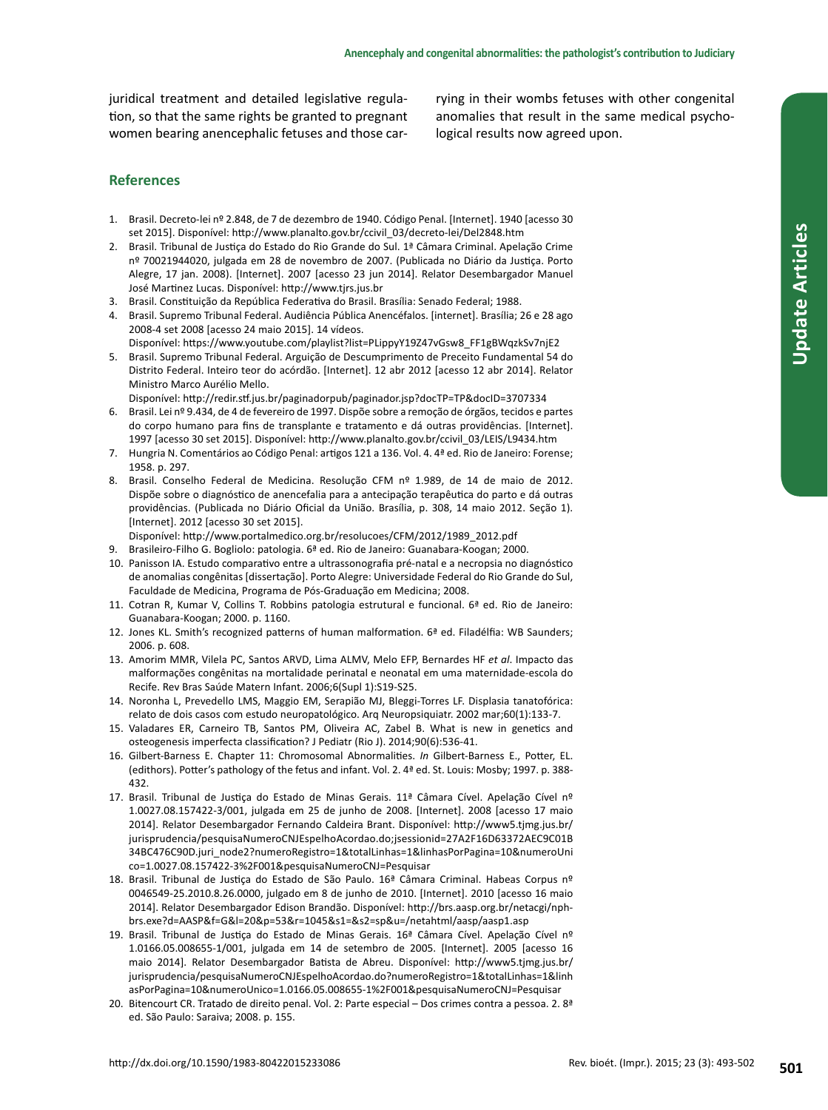juridical treatment and detailed legislative regulation, so that the same rights be granted to pregnant women bearing anencephalic fetuses and those car-

rying in their wombs fetuses with other congenital anomalies that result in the same medical psychological results now agreed upon.

## **References**

- 1. Brasil. Decreto-lei nº 2.848, de 7 de dezembro de 1940. Código Penal. [Internet]. 1940 [acesso 30 set 2015]. Disponível: http://www.planalto.gov.br/ccivil\_03/decreto-lei/Del2848.htm
- 2. Brasil. Tribunal de Justiça do Estado do Rio Grande do Sul. 1ª Câmara Criminal. Apelação Crime nº 70021944020, julgada em 28 de novembro de 2007. (Publicada no Diário da Justiça. Porto Alegre, 17 jan. 2008). [Internet]. 2007 [acesso 23 jun 2014]. Relator Desembargador Manuel José Martinez Lucas. Disponível: http://www.tjrs.jus.br
- 3. Brasil. Constituição da República Federativa do Brasil. Brasília: Senado Federal; 1988.
- 4. Brasil. Supremo Tribunal Federal. Audiência Pública Anencéfalos. [internet]. Brasília; 26 e 28 ago 2008-4 set 2008 [acesso 24 maio 2015]. 14 vídeos.

Disponível: https://www.youtube.com/playlist?list=PLippyY19Z47vGsw8\_FF1gBWqzkSv7njE2

5. Brasil. Supremo Tribunal Federal. Arguição de Descumprimento de Preceito Fundamental 54 do Distrito Federal. Inteiro teor do acórdão. [Internet]. 12 abr 2012 [acesso 12 abr 2014]. Relator Ministro Marco Aurélio Mello.

Disponível: http://redir.stf.jus.br/paginadorpub/paginador.jsp?docTP=TP&docID=3707334

- 6. Brasil. Lei nº 9.434, de 4 de fevereiro de 1997. Dispõe sobre a remoção de órgãos, tecidos e partes do corpo humano para fins de transplante e tratamento e dá outras providências. [Internet]. 1997 [acesso 30 set 2015]. Disponível: http://www.planalto.gov.br/ccivil\_03/LEIS/L9434.htm
- 7. Hungria N. Comentários ao Código Penal: artigos 121 a 136. Vol. 4. 4ª ed. Rio de Janeiro: Forense; 1958. p. 297.
- Brasil. Conselho Federal de Medicina. Resolução CFM nº 1.989, de 14 de maio de 2012. Dispõe sobre o diagnóstico de anencefalia para a antecipação terapêutica do parto e dá outras providências. (Publicada no Diário Oficial da União. Brasília, p. 308, 14 maio 2012. Seção 1). [Internet]. 2012 [acesso 30 set 2015].
- Disponível: http://www.portalmedico.org.br/resolucoes/CFM/2012/1989\_2012.pdf
- 9. Brasileiro-Filho G. Bogliolo: patologia. 6ª ed. Rio de Janeiro: Guanabara-Koogan; 2000.
- 10. Panisson IA. Estudo comparativo entre a ultrassonografia pré-natal e a necropsia no diagnóstico de anomalias congênitas [dissertação]. Porto Alegre: Universidade Federal do Rio Grande do Sul, Faculdade de Medicina, Programa de Pós-Graduação em Medicina; 2008.
- 11. Cotran R, Kumar V, Collins T. Robbins patologia estrutural e funcional. 6ª ed. Rio de Janeiro: Guanabara-Koogan; 2000. p. 1160.
- 12. Jones KL. Smith's recognized patterns of human malformation. 6ª ed. Filadélfia: WB Saunders; 2006. p. 608.
- 13. Amorim MMR, Vilela PC, Santos ARVD, Lima ALMV, Melo EFP, Bernardes HF *et al*. Impacto das malformações congênitas na mortalidade perinatal e neonatal em uma maternidade-escola do Recife. Rev Bras Saúde Matern Infant. 2006;6(Supl 1):S19-S25.
- 14. Noronha L, Prevedello LMS, Maggio EM, Serapião MJ, Bleggi-Torres LF. Displasia tanatofórica: relato de dois casos com estudo neuropatológico. Arq Neuropsiquiatr. 2002 mar;60(1):133-7.
- 15. Valadares ER, Carneiro TB, Santos PM, Oliveira AC, Zabel B. What is new in genetics and osteogenesis imperfecta classification? J Pediatr (Rio J). 2014;90(6):536-41.
- 16. Gilbert-Barness E. Chapter 11: Chromosomal Abnormalities. *In* Gilbert-Barness E., Potter, EL. (edithors). Potter's pathology of the fetus and infant. Vol. 2. 4ª ed. St. Louis: Mosby; 1997. p. 388- 432.
- 17. Brasil. Tribunal de Justiça do Estado de Minas Gerais. 11ª Câmara Cível. Apelação Cível nº 1.0027.08.157422-3/001, julgada em 25 de junho de 2008. [Internet]. 2008 [acesso 17 maio 2014]. Relator Desembargador Fernando Caldeira Brant. Disponível: http://www5.tjmg.jus.br/ jurisprudencia/pesquisaNumeroCNJEspelhoAcordao.do;jsessionid=27A2F16D63372AEC9C01B 34BC476C90D.juri\_node2?numeroRegistro=1&totalLinhas=1&linhasPorPagina=10&numeroUni co=1.0027.08.157422-3%2F001&pesquisaNumeroCNJ=Pesquisar
- 18. Brasil. Tribunal de Justiça do Estado de São Paulo. 16ª Câmara Criminal. Habeas Corpus nº 0046549-25.2010.8.26.0000, julgado em 8 de junho de 2010. [Internet]. 2010 [acesso 16 maio 2014]. Relator Desembargador Edison Brandão. Disponível: http://brs.aasp.org.br/netacgi/nphbrs.exe?d=AASP&f=G&l=20&p=53&r=1045&s1=&s2=sp&u=/netahtml/aasp/aasp1.asp
- 19. Brasil. Tribunal de Justiça do Estado de Minas Gerais. 16ª Câmara Cível. Apelação Cível nº 1.0166.05.008655-1/001, julgada em 14 de setembro de 2005. [Internet]. 2005 [acesso 16 maio 2014]. Relator Desembargador Batista de Abreu. Disponível: http://www5.tjmg.jus.br/ jurisprudencia/pesquisaNumeroCNJEspelhoAcordao.do?numeroRegistro=1&totalLinhas=1&linh asPorPagina=10&numeroUnico=1.0166.05.008655-1%2F001&pesquisaNumeroCNJ=Pesquisar
- 20. Bitencourt CR. Tratado de direito penal. Vol. 2: Parte especial Dos crimes contra a pessoa. 2. 8ª ed. São Paulo: Saraiva; 2008. p. 155.